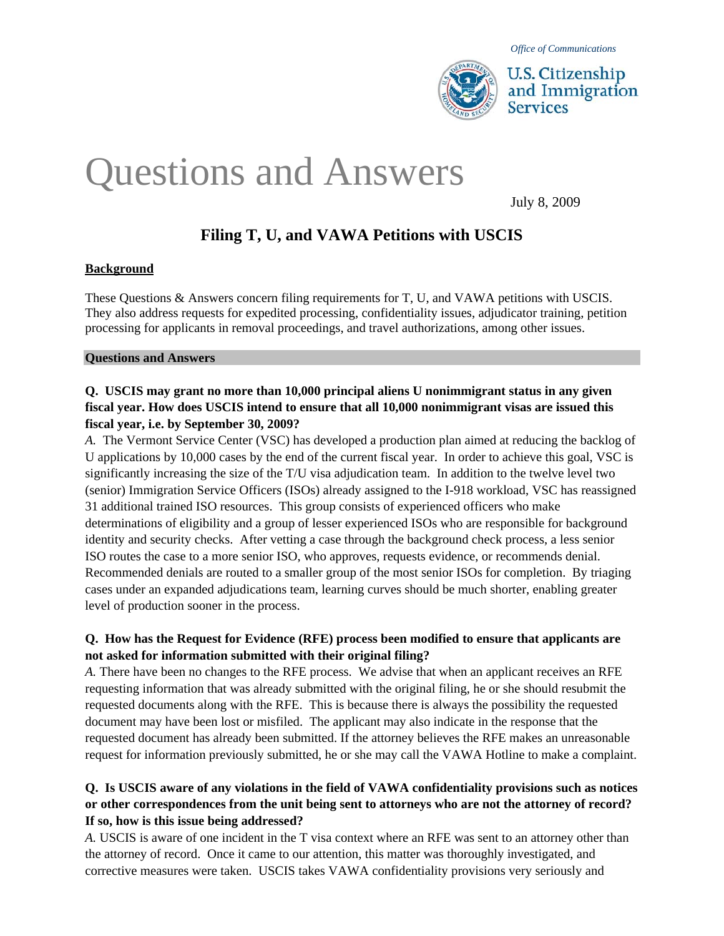

# Q uestions and Answers

July 8, 2009

# **Filing T, U, and VAWA Petitions with USCIS**

#### **Background**

These Questions & Answers concern filing requirements for T, U, and VAWA petitions with USCIS. They also address requests for expedited processing, confidentiality issues, adjudicator training, petition processing for applicants in removal proceedings, and travel authorizations, among other issues.

#### **Questions and Answers**

#### **Q. USCIS may grant no more than 10,000 principal aliens U nonimmigrant status in any given fiscal year. How does USCIS intend to ensure that all 10,000 nonimmigrant visas are issued this fiscal year, i.e. by September 30, 2009?**

*A.* The Vermont Service Center (VSC) has developed a production plan aimed at reducing the backlog of U applications by 10,000 cases by the end of the current fiscal year. In order to achieve this goal, VSC is significantly increasing the size of the T/U visa adjudication team. In addition to the twelve level two (senior) Immigration Service Officers (ISOs) already assigned to the I-918 workload, VSC has reassigned 31 additional trained ISO resources. This group consists of experienced officers who make determinations of eligibility and a group of lesser experienced ISOs who are responsible for background identity and security checks. After vetting a case through the background check process, a less senior ISO routes the case to a more senior ISO, who approves, requests evidence, or recommends denial. Recommended denials are routed to a smaller group of the most senior ISOs for completion. By triaging cases under an expanded adjudications team, learning curves should be much shorter, enabling greater level of production sooner in the process.

#### **Q. How has the Request for Evidence (RFE) process been modified to ensure that applicants are not asked for information submitted with their original filing?**

*A.* There have been no changes to the RFE process. We advise that when an applicant receives an RFE requesting information that was already submitted with the original filing, he or she should resubmit the requested documents along with the RFE. This is because there is always the possibility the requested document may have been lost or misfiled. The applicant may also indicate in the response that the requested document has already been submitted. If the attorney believes the RFE makes an unreasonable request for information previously submitted, he or she may call the VAWA Hotline to make a complaint.

#### **Q. Is USCIS aware of any violations in the field of VAWA confidentiality provisions such as notices or other correspondences from the unit being sent to attorneys who are not the attorney of record? If so, how is this issue being addressed?**

*A.* USCIS is aware of one incident in the T visa context where an RFE was sent to an attorney other than the attorney of record. Once it came to our attention, this matter was thoroughly investigated, and corrective measures were taken. USCIS takes VAWA confidentiality provisions very seriously and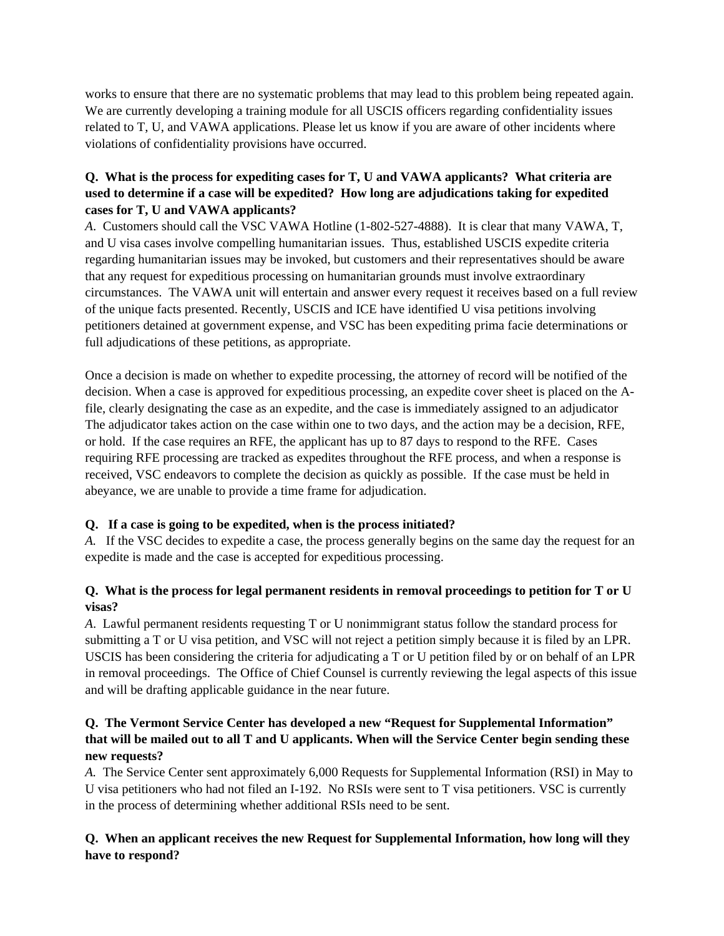works to ensure that there are no systematic problems that may lead to this problem being repeated again. We are currently developing a training module for all USCIS officers regarding confidentiality issues related to T, U, and VAWA applications. Please let us know if you are aware of other incidents where violations of confidentiality provisions have occurred.

#### **Q. What is the process for expediting cases for T, U and VAWA applicants? What criteria are used to determine if a case will be expedited? How long are adjudications taking for expedited cases for T, U and VAWA applicants?**

*A*. Customers should call the VSC VAWA Hotline (1-802-527-4888). It is clear that many VAWA, T, and U visa cases involve compelling humanitarian issues. Thus, established USCIS expedite criteria regarding humanitarian issues may be invoked, but customers and their representatives should be aware that any request for expeditious processing on humanitarian grounds must involve extraordinary circumstances. The VAWA unit will entertain and answer every request it receives based on a full review of the unique facts presented. Recently, USCIS and ICE have identified U visa petitions involving petitioners detained at government expense, and VSC has been expediting prima facie determinations or full adjudications of these petitions, as appropriate.

Once a decision is made on whether to expedite processing, the attorney of record will be notified of the decision. When a case is approved for expeditious processing, an expedite cover sheet is placed on the Afile, clearly designating the case as an expedite, and the case is immediately assigned to an adjudicator The adjudicator takes action on the case within one to two days, and the action may be a decision, RFE, or hold. If the case requires an RFE, the applicant has up to 87 days to respond to the RFE. Cases requiring RFE processing are tracked as expedites throughout the RFE process, and when a response is received, VSC endeavors to complete the decision as quickly as possible. If the case must be held in abeyance, we are unable to provide a time frame for adjudication.

#### **Q. If a case is going to be expedited, when is the process initiated?**

*A.* If the VSC decides to expedite a case, the process generally begins on the same day the request for an expedite is made and the case is accepted for expeditious processing.

# **Q. What is the process for legal permanent residents in removal proceedings to petition for T or U visas?**

*A*. Lawful permanent residents requesting T or U nonimmigrant status follow the standard process for submitting a T or U visa petition, and VSC will not reject a petition simply because it is filed by an LPR. USCIS has been considering the criteria for adjudicating a T or U petition filed by or on behalf of an LPR in removal proceedings. The Office of Chief Counsel is currently reviewing the legal aspects of this issue and will be drafting applicable guidance in the near future.

#### **Q. The Vermont Service Center has developed a new "Request for Supplemental Information" that will be mailed out to all T and U applicants. When will the Service Center begin sending these new requests?**

*A.* The Service Center sent approximately 6,000 Requests for Supplemental Information (RSI) in May to U visa petitioners who had not filed an I-192. No RSIs were sent to T visa petitioners. VSC is currently in the process of determining whether additional RSIs need to be sent.

# **Q. When an applicant receives the new Request for Supplemental Information, how long will they have to respond?**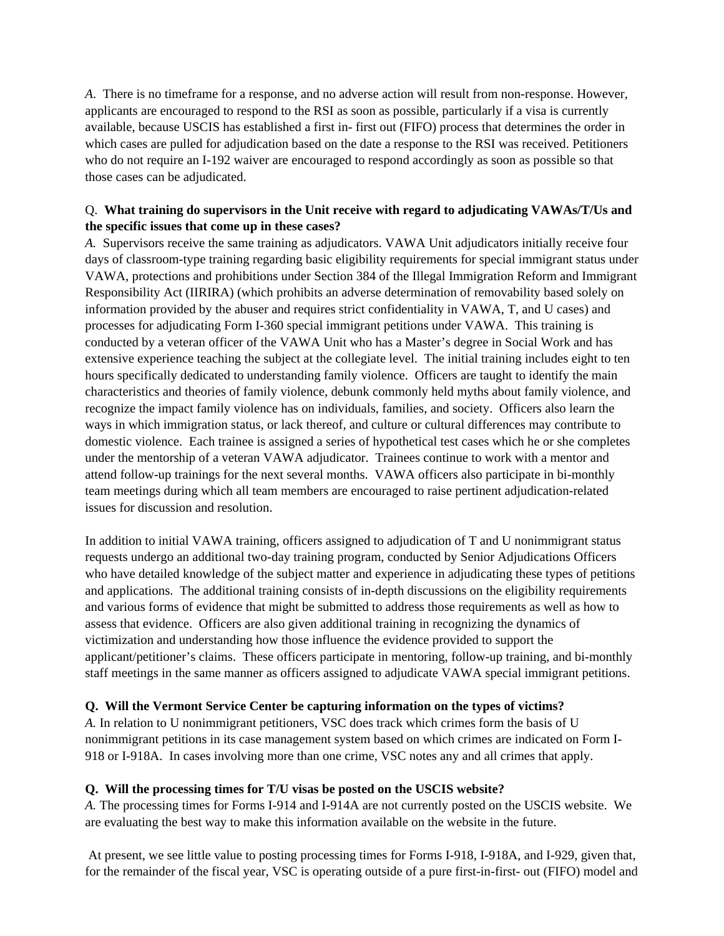*A*. There is no timeframe for a response, and no adverse action will result from non-response. However, applicants are encouraged to respond to the RSI as soon as possible, particularly if a visa is currently available, because USCIS has established a first in- first out (FIFO) process that determines the order in which cases are pulled for adjudication based on the date a response to the RSI was received. Petitioners who do not require an I-192 waiver are encouraged to respond accordingly as soon as possible so that those cases can be adjudicated.

#### Q. **What training do supervisors in the Unit receive with regard to adjudicating VAWAs/T/Us and the specific issues that come up in these cases?**

*A.* Supervisors receive the same training as adjudicators. VAWA Unit adjudicators initially receive four days of classroom-type training regarding basic eligibility requirements for special immigrant status under VAWA, protections and prohibitions under Section 384 of the Illegal Immigration Reform and Immigrant Responsibility Act (IIRIRA) (which prohibits an adverse determination of removability based solely on information provided by the abuser and requires strict confidentiality in VAWA, T, and U cases) and processes for adjudicating Form I-360 special immigrant petitions under VAWA. This training is conducted by a veteran officer of the VAWA Unit who has a Master's degree in Social Work and has extensive experience teaching the subject at the collegiate level. The initial training includes eight to ten hours specifically dedicated to understanding family violence. Officers are taught to identify the main characteristics and theories of family violence, debunk commonly held myths about family violence, and recognize the impact family violence has on individuals, families, and society. Officers also learn the ways in which immigration status, or lack thereof, and culture or cultural differences may contribute to domestic violence. Each trainee is assigned a series of hypothetical test cases which he or she completes under the mentorship of a veteran VAWA adjudicator. Trainees continue to work with a mentor and attend follow-up trainings for the next several months. VAWA officers also participate in bi-monthly team meetings during which all team members are encouraged to raise pertinent adjudication-related issues for discussion and resolution.

In addition to initial VAWA training, officers assigned to adjudication of T and U nonimmigrant status requests undergo an additional two-day training program, conducted by Senior Adjudications Officers who have detailed knowledge of the subject matter and experience in adjudicating these types of petitions and applications. The additional training consists of in-depth discussions on the eligibility requirements and various forms of evidence that might be submitted to address those requirements as well as how to assess that evidence. Officers are also given additional training in recognizing the dynamics of victimization and understanding how those influence the evidence provided to support the applicant/petitioner's claims. These officers participate in mentoring, follow-up training, and bi-monthly staff meetings in the same manner as officers assigned to adjudicate VAWA special immigrant petitions.

#### **Q. Will the Vermont Service Center be capturing information on the types of victims?**

*A.* In relation to U nonimmigrant petitioners, VSC does track which crimes form the basis of U nonimmigrant petitions in its case management system based on which crimes are indicated on Form I-918 or I-918A. In cases involving more than one crime, VSC notes any and all crimes that apply.

#### **Q. Will the processing times for T/U visas be posted on the USCIS website?**

*A.* The processing times for Forms I-914 and I-914A are not currently posted on the USCIS website. We are evaluating the best way to make this information available on the website in the future.

 At present, we see little value to posting processing times for Forms I-918, I-918A, and I-929, given that, for the remainder of the fiscal year, VSC is operating outside of a pure first-in-first- out (FIFO) model and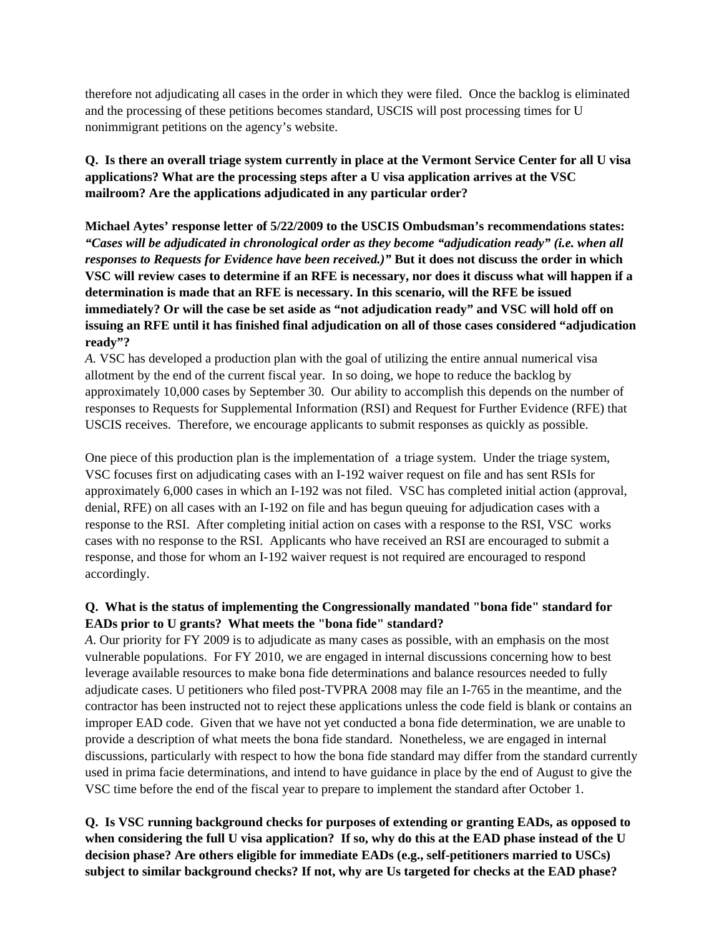therefore not adjudicating all cases in the order in which they were filed. Once the backlog is eliminated and the processing of these petitions becomes standard, USCIS will post processing times for U nonimmigrant petitions on the agency's website.

**Q. Is there an overall triage system currently in place at the Vermont Service Center for all U visa applications? What are the processing steps after a U visa application arrives at the VSC mailroom? Are the applications adjudicated in any particular order?**

**Michael Aytes' response letter of 5/22/2009 to the USCIS Ombudsman's recommendations states:** *"Cases will be adjudicated in chronological order as they become "adjudication ready" (i.e. when all responses to Requests for Evidence have been received.)"* **But it does not discuss the order in which VSC will review cases to determine if an RFE is necessary, nor does it discuss what will happen if a determination is made that an RFE is necessary. In this scenario, will the RFE be issued immediately? Or will the case be set aside as "not adjudication ready" and VSC will hold off on issuing an RFE until it has finished final adjudication on all of those cases considered "adjudication ready"?** 

*A.* VSC has developed a production plan with the goal of utilizing the entire annual numerical visa allotment by the end of the current fiscal year. In so doing, we hope to reduce the backlog by approximately 10,000 cases by September 30. Our ability to accomplish this depends on the number of responses to Requests for Supplemental Information (RSI) and Request for Further Evidence (RFE) that USCIS receives. Therefore, we encourage applicants to submit responses as quickly as possible.

One piece of this production plan is the implementation of a triage system. Under the triage system, VSC focuses first on adjudicating cases with an I-192 waiver request on file and has sent RSIs for approximately 6,000 cases in which an I-192 was not filed. VSC has completed initial action (approval, denial, RFE) on all cases with an I-192 on file and has begun queuing for adjudication cases with a response to the RSI. After completing initial action on cases with a response to the RSI, VSC works cases with no response to the RSI. Applicants who have received an RSI are encouraged to submit a response, and those for whom an I-192 waiver request is not required are encouraged to respond accordingly.

#### **Q. What is the status of implementing the Congressionally mandated "bona fide" standard for EADs prior to U grants? What meets the "bona fide" standard?**

*A*. Our priority for FY 2009 is to adjudicate as many cases as possible, with an emphasis on the most vulnerable populations. For FY 2010, we are engaged in internal discussions concerning how to best leverage available resources to make bona fide determinations and balance resources needed to fully adjudicate cases. U petitioners who filed post-TVPRA 2008 may file an I-765 in the meantime, and the contractor has been instructed not to reject these applications unless the code field is blank or contains an improper EAD code. Given that we have not yet conducted a bona fide determination, we are unable to provide a description of what meets the bona fide standard. Nonetheless, we are engaged in internal discussions, particularly with respect to how the bona fide standard may differ from the standard currently used in prima facie determinations, and intend to have guidance in place by the end of August to give the VSC time before the end of the fiscal year to prepare to implement the standard after October 1.

### **Q. Is VSC running background checks for purposes of extending or granting EADs, as opposed to when considering the full U visa application? If so, why do this at the EAD phase instead of the U decision phase? Are others eligible for immediate EADs (e.g., self-petitioners married to USCs) subject to similar background checks? If not, why are Us targeted for checks at the EAD phase?**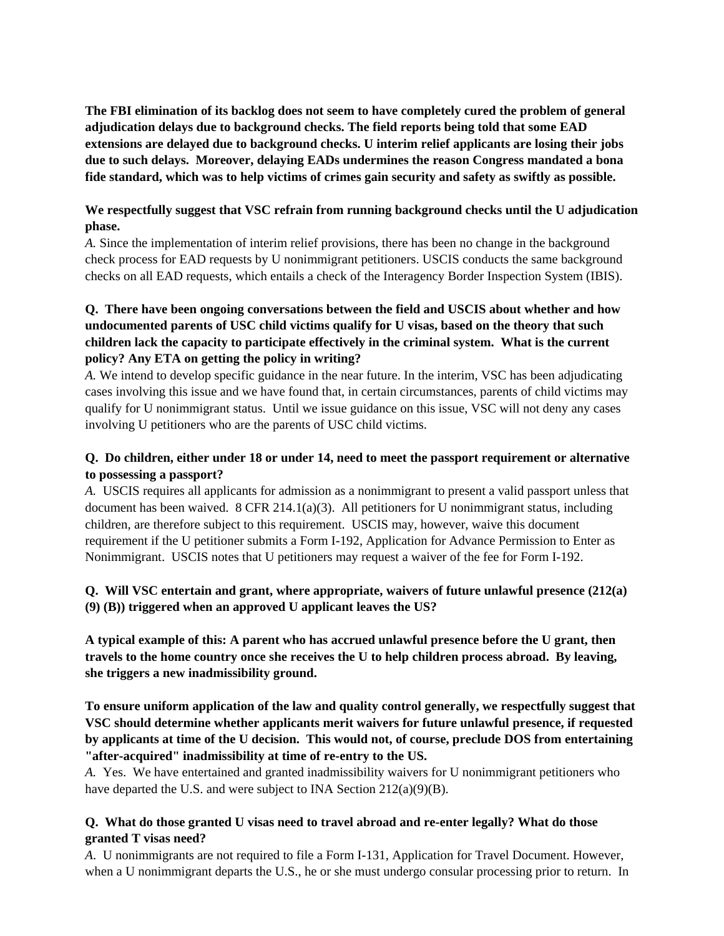**The FBI elimination of its backlog does not seem to have completely cured the problem of general adjudication delays due to background checks. The field reports being told that some EAD extensions are delayed due to background checks. U interim relief applicants are losing their jobs due to such delays. Moreover, delaying EADs undermines the reason Congress mandated a bona fide standard, which was to help victims of crimes gain security and safety as swiftly as possible.** 

#### **We respectfully suggest that VSC refrain from running background checks until the U adjudication phase.**

*A.* Since the implementation of interim relief provisions, there has been no change in the background check process for EAD requests by U nonimmigrant petitioners. USCIS conducts the same background checks on all EAD requests, which entails a check of the Interagency Border Inspection System (IBIS).

### **Q. There have been ongoing conversations between the field and USCIS about whether and how undocumented parents of USC child victims qualify for U visas, based on the theory that such children lack the capacity to participate effectively in the criminal system. What is the current policy? Any ETA on getting the policy in writing?**

*A.* We intend to develop specific guidance in the near future. In the interim, VSC has been adjudicating cases involving this issue and we have found that, in certain circumstances, parents of child victims may qualify for U nonimmigrant status. Until we issue guidance on this issue, VSC will not deny any cases involving U petitioners who are the parents of USC child victims.

### **Q. Do children, either under 18 or under 14, need to meet the passport requirement or alternative to possessing a passport?**

*A.* USCIS requires all applicants for admission as a nonimmigrant to present a valid passport unless that document has been waived. 8 CFR 214.1(a)(3). All petitioners for U nonimmigrant status, including children, are therefore subject to this requirement. USCIS may, however, waive this document requirement if the U petitioner submits a Form I-192, Application for Advance Permission to Enter as Nonimmigrant. USCIS notes that U petitioners may request a waiver of the fee for Form I-192.

### **Q. Will VSC entertain and grant, where appropriate, waivers of future unlawful presence (212(a) (9) (B)) triggered when an approved U applicant leaves the US?**

**A typical example of this: A parent who has accrued unlawful presence before the U grant, then travels to the home country once she receives the U to help children process abroad. By leaving, she triggers a new inadmissibility ground.** 

**To ensure uniform application of the law and quality control generally, we respectfully suggest that VSC should determine whether applicants merit waivers for future unlawful presence, if requested by applicants at time of the U decision. This would not, of course, preclude DOS from entertaining "after-acquired" inadmissibility at time of re-entry to the US.** 

*A.* Yes. We have entertained and granted inadmissibility waivers for U nonimmigrant petitioners who have departed the U.S. and were subject to INA Section 212(a)(9)(B).

#### **Q. What do those granted U visas need to travel abroad and re-enter legally? What do those granted T visas need?**

*A*. U nonimmigrants are not required to file a Form I-131, Application for Travel Document. However, when a U nonimmigrant departs the U.S., he or she must undergo consular processing prior to return. In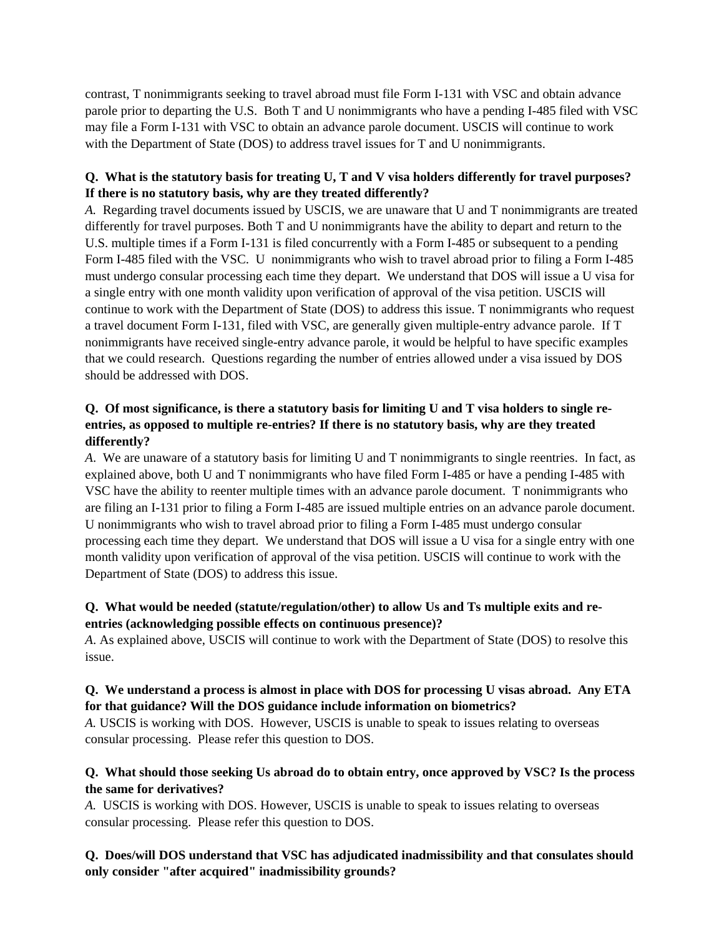contrast, T nonimmigrants seeking to travel abroad must file Form I-131 with VSC and obtain advance parole prior to departing the U.S. Both T and U nonimmigrants who have a pending I-485 filed with VSC may file a Form I-131 with VSC to obtain an advance parole document. USCIS will continue to work with the Department of State (DOS) to address travel issues for T and U nonimmigrants.

### **Q. What is the statutory basis for treating U, T and V visa holders differently for travel purposes? If there is no statutory basis, why are they treated differently?**

*A.* Regarding travel documents issued by USCIS, we are unaware that U and T nonimmigrants are treated differently for travel purposes. Both T and U nonimmigrants have the ability to depart and return to the U.S. multiple times if a Form I-131 is filed concurrently with a Form I-485 or subsequent to a pending Form I-485 filed with the VSC. U nonimmigrants who wish to travel abroad prior to filing a Form I-485 must undergo consular processing each time they depart. We understand that DOS will issue a U visa for a single entry with one month validity upon verification of approval of the visa petition. USCIS will continue to work with the Department of State (DOS) to address this issue. T nonimmigrants who request a travel document Form I-131, filed with VSC, are generally given multiple-entry advance parole. If T nonimmigrants have received single-entry advance parole, it would be helpful to have specific examples that we could research. Questions regarding the number of entries allowed under a visa issued by DOS should be addressed with DOS.

### **Q. Of most significance, is there a statutory basis for limiting U and T visa holders to single reentries, as opposed to multiple re-entries? If there is no statutory basis, why are they treated differently?**

*A*. We are unaware of a statutory basis for limiting U and T nonimmigrants to single reentries. In fact, as explained above, both U and T nonimmigrants who have filed Form I-485 or have a pending I-485 with VSC have the ability to reenter multiple times with an advance parole document. T nonimmigrants who are filing an I-131 prior to filing a Form I-485 are issued multiple entries on an advance parole document. U nonimmigrants who wish to travel abroad prior to filing a Form I-485 must undergo consular processing each time they depart. We understand that DOS will issue a U visa for a single entry with one month validity upon verification of approval of the visa petition. USCIS will continue to work with the Department of State (DOS) to address this issue.

### **Q. What would be needed (statute/regulation/other) to allow Us and Ts multiple exits and reentries (acknowledging possible effects on continuous presence)?**

*A*. As explained above, USCIS will continue to work with the Department of State (DOS) to resolve this issue.

### **Q. We understand a process is almost in place with DOS for processing U visas abroad. Any ETA for that guidance? Will the DOS guidance include information on biometrics?**

*A.* USCIS is working with DOS. However, USCIS is unable to speak to issues relating to overseas consular processing. Please refer this question to DOS.

### **Q. What should those seeking Us abroad do to obtain entry, once approved by VSC? Is the process the same for derivatives?**

*A.* USCIS is working with DOS. However, USCIS is unable to speak to issues relating to overseas consular processing. Please refer this question to DOS.

### **Q. Does/will DOS understand that VSC has adjudicated inadmissibility and that consulates should only consider "after acquired" inadmissibility grounds?**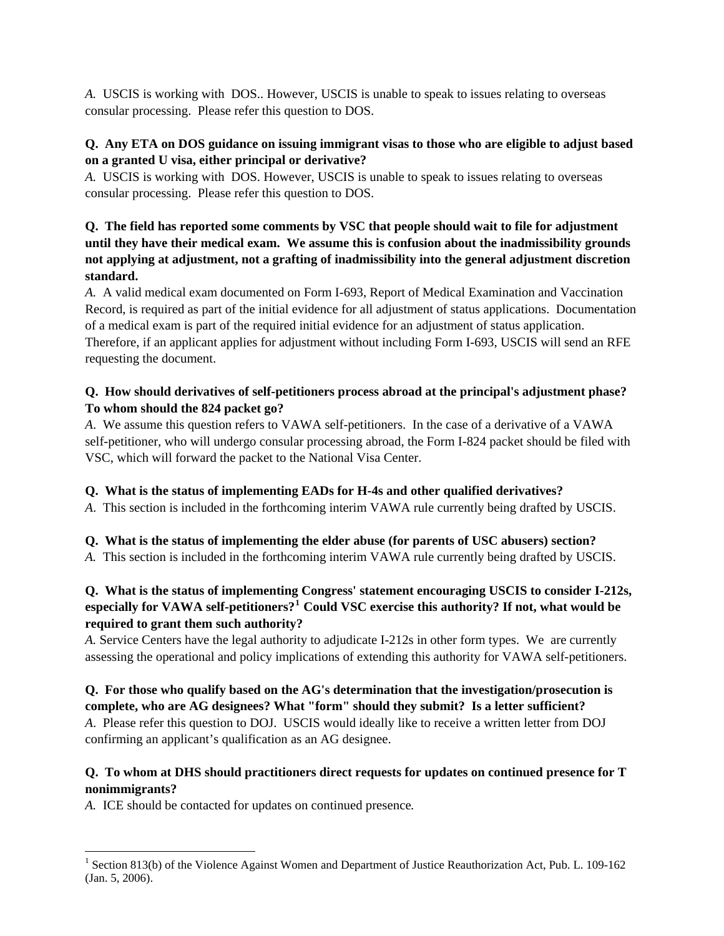*A.* USCIS is working with DOS.. However, USCIS is unable to speak to issues relating to overseas consular processing. Please refer this question to DOS.

#### **Q. Any ETA on DOS guidance on issuing immigrant visas to those who are eligible to adjust based on a granted U visa, either principal or derivative?**

*A.* USCIS is working with DOS. However, USCIS is unable to speak to issues relating to overseas consular processing. Please refer this question to DOS.

# **Q. The field has reported some comments by VSC that people should wait to file for adjustment until they have their medical exam. We assume this is confusion about the inadmissibility grounds not applying at adjustment, not a grafting of inadmissibility into the general adjustment discretion standard.**

*A.* A valid medical exam documented on Form I-693, Report of Medical Examination and Vaccination Record, is required as part of the initial evidence for all adjustment of status applications. Documentation of a medical exam is part of the required initial evidence for an adjustment of status application. Therefore, if an applicant applies for adjustment without including Form I-693, USCIS will send an RFE requesting the document.

#### **Q. How should derivatives of self-petitioners process abroad at the principal's adjustment phase? To whom should the 824 packet go?**

*A*. We assume this question refers to VAWA self-petitioners. In the case of a derivative of a VAWA self-petitioner, who will undergo consular processing abroad, the Form I-824 packet should be filed with VSC, which will forward the packet to the National Visa Center.

# **Q. What is the status of implementing EADs for H-4s and other qualified derivatives?**

*A*. This section is included in the forthcoming interim VAWA rule currently being drafted by USCIS.

# **Q. What is the status of implementing the elder abuse (for parents of USC abusers) section?**

*A.* This section is included in the forthcoming interim VAWA rule currently being drafted by USCIS.

# **Q. What is the status of implementing Congress' statement encouraging USCIS to consider I-212s, especially for VAWA self-petitioners?[1](#page-6-0) Could VSC exercise this authority? If not, what would be required to grant them such authority?**

*A.* Service Centers have the legal authority to adjudicate I-212s in other form types. We are currently assessing the operational and policy implications of extending this authority for VAWA self-petitioners.

**Q. For those who qualify based on the AG's determination that the investigation/prosecution is complete, who are AG designees? What "form" should they submit? Is a letter sufficient?**  *A*. Please refer this question to DOJ. USCIS would ideally like to receive a written letter from DOJ confirming an applicant's qualification as an AG designee.

# **Q. To whom at DHS should practitioners direct requests for updates on continued presence for T nonimmigrants?**

*A.* ICE should be contacted for updates on continued presence*.* 

l

<span id="page-6-0"></span><sup>&</sup>lt;sup>1</sup> Section 813(b) of the Violence Against Women and Department of Justice Reauthorization Act, Pub. L. 109-162 (Jan. 5, 2006).